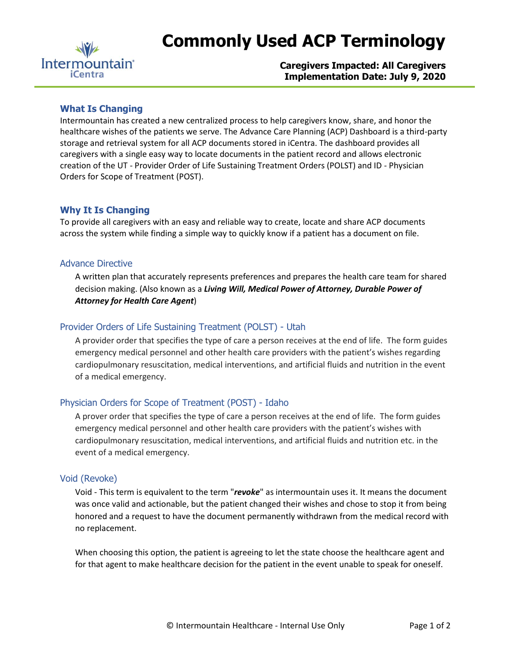

# **Commonly Used ACP Terminology**

**Caregivers Impacted: All Caregivers Implementation Date: July 9, 2020**

# **What Is Changing**

Intermountain has created a new centralized process to help caregivers know, share, and honor the healthcare wishes of the patients we serve. The Advance Care Planning (ACP) Dashboard is a third-party storage and retrieval system for all ACP documents stored in iCentra. The dashboard provides all caregivers with a single easy way to locate documents in the patient record and allows electronic creation of the UT - Provider Order of Life Sustaining Treatment Orders (POLST) and ID - Physician Orders for Scope of Treatment (POST).

# **Why It Is Changing**

To provide all caregivers with an easy and reliable way to create, locate and share ACP documents across the system while finding a simple way to quickly know if a patient has a document on file.

# Advance Directive

A written plan that accurately represents preferences and prepares the health care team for shared decision making. (Also known as a *Living Will, Medical Power of Attorney, Durable Power of Attorney for Health Care Agent*)

# Provider Orders of Life Sustaining Treatment (POLST) - Utah

A provider order that specifies the type of care a person receives at the end of life. The form guides emergency medical personnel and other health care providers with the patient's wishes regarding cardiopulmonary resuscitation, medical interventions, and artificial fluids and nutrition in the event of a medical emergency.

# Physician Orders for Scope of Treatment (POST) - Idaho

A prover order that specifies the type of care a person receives at the end of life. The form guides emergency medical personnel and other health care providers with the patient's wishes with cardiopulmonary resuscitation, medical interventions, and artificial fluids and nutrition etc. in the event of a medical emergency.

#### Void (Revoke)

Void - This term is equivalent to the term "*revoke*" as intermountain uses it. It means the document was once valid and actionable, but the patient changed their wishes and chose to stop it from being honored and a request to have the document permanently withdrawn from the medical record with no replacement.

When choosing this option, the patient is agreeing to let the state choose the healthcare agent and for that agent to make healthcare decision for the patient in the event unable to speak for oneself.